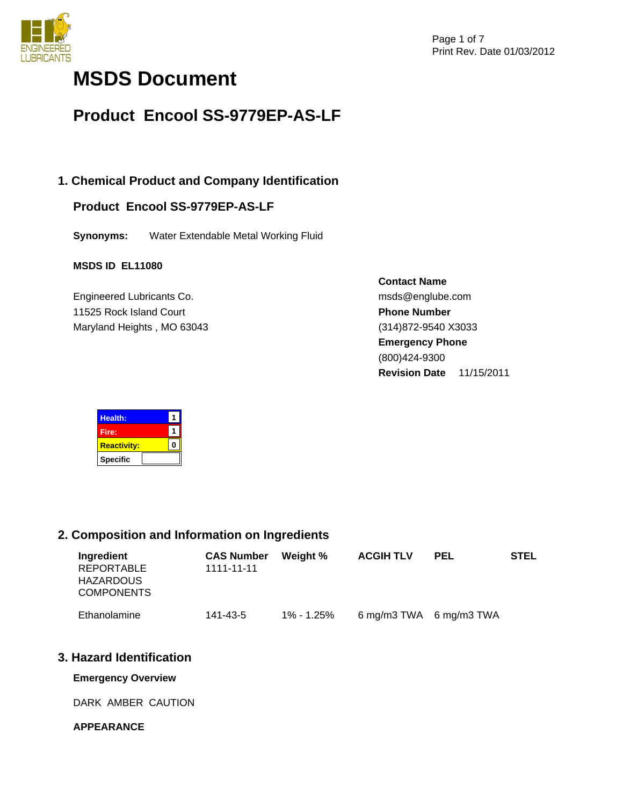

# **MSDS Document**

# **Product Encool SS-9779EP-AS-LF**

# **1. Chemical Product and Company Identification**

# **Product Encool SS-9779EP-AS-LF**

**Synonyms:** Water Extendable Metal Working Fluid

# **MSDS ID EL11080**

Engineered Lubricants Co. 11525 Rock Island Court Maryland Heights , MO 63043 **Contact Name** msds@englube.com **Phone Number** (314)872-9540 X3033 **Emergency Phone** (800)424-9300 **Revision Date** 11/15/2011



# **2. Composition and Information on Ingredients**

| Ingredient<br><b>REPORTABLE</b><br><b>HAZARDOUS</b><br><b>COMPONENTS</b> | <b>CAS Number</b><br>1111-11-11 | Weight %   | <b>ACGIH TLV</b>        | <b>PEL</b> | <b>STEL</b> |
|--------------------------------------------------------------------------|---------------------------------|------------|-------------------------|------------|-------------|
| Ethanolamine                                                             | 141-43-5                        | 1% - 1.25% | 6 mg/m3 TWA 6 mg/m3 TWA |            |             |

# **3. Hazard Identification**

**Emergency Overview** 

DARK AMBER CAUTION

# **APPEARANCE**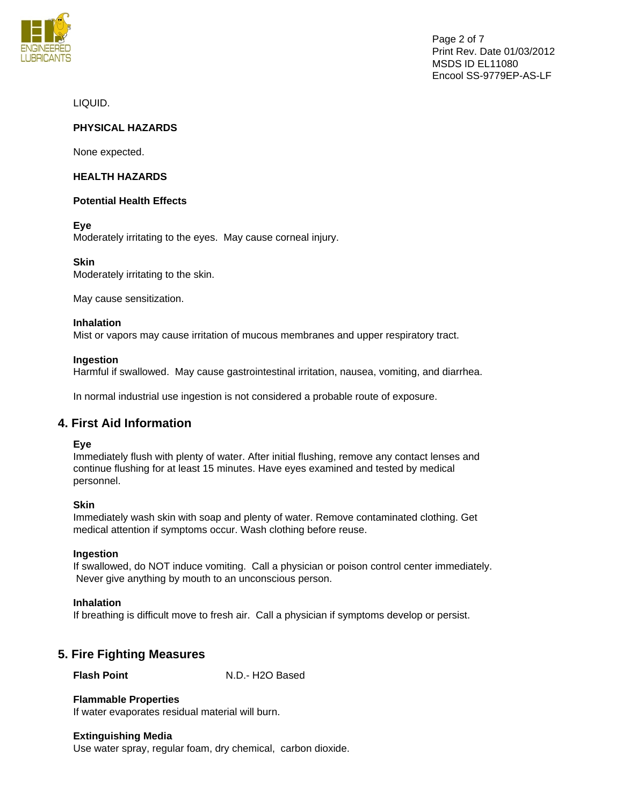

Page 2 of 7 Print Rev. Date 01/03/2012 MSDS ID EL11080 Encool SS-9779EP-AS-LF

LIQUID.

# **PHYSICAL HAZARDS**

None expected.

#### **HEALTH HAZARDS**

#### **Potential Health Effects**

**Eye** 

Moderately irritating to the eyes. May cause corneal injury.

#### **Skin**

Moderately irritating to the skin.

May cause sensitization.

#### **Inhalation**

Mist or vapors may cause irritation of mucous membranes and upper respiratory tract.

#### **Ingestion**

Harmful if swallowed. May cause gastrointestinal irritation, nausea, vomiting, and diarrhea.

In normal industrial use ingestion is not considered a probable route of exposure.

# **4. First Aid Information**

#### **Eye**

Immediately flush with plenty of water. After initial flushing, remove any contact lenses and continue flushing for at least 15 minutes. Have eyes examined and tested by medical personnel.

#### **Skin**

Immediately wash skin with soap and plenty of water. Remove contaminated clothing. Get medical attention if symptoms occur. Wash clothing before reuse.

#### **Ingestion**

If swallowed, do NOT induce vomiting. Call a physician or poison control center immediately. Never give anything by mouth to an unconscious person.

#### **Inhalation**

If breathing is difficult move to fresh air. Call a physician if symptoms develop or persist.

# **5. Fire Fighting Measures**

**Flash Point** N.D.- H2O Based

# **Flammable Properties**

If water evaporates residual material will burn.

#### **Extinguishing Media**

Use water spray, regular foam, dry chemical, carbon dioxide.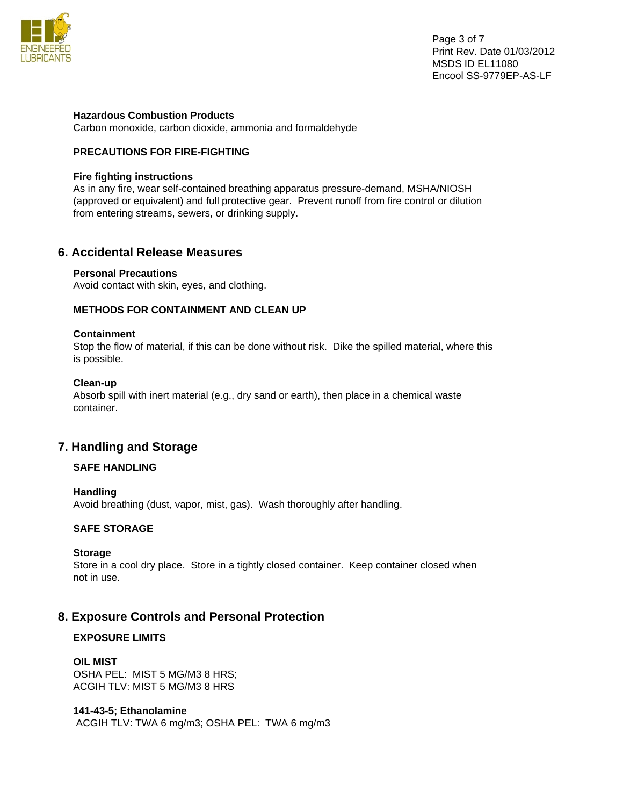

#### **Hazardous Combustion Products**

Carbon monoxide, carbon dioxide, ammonia and formaldehyde

# **PRECAUTIONS FOR FIRE-FIGHTING**

#### **Fire fighting instructions**

As in any fire, wear self-contained breathing apparatus pressure-demand, MSHA/NIOSH (approved or equivalent) and full protective gear. Prevent runoff from fire control or dilution from entering streams, sewers, or drinking supply.

# **6. Accidental Release Measures**

#### **Personal Precautions**

Avoid contact with skin, eyes, and clothing.

### **METHODS FOR CONTAINMENT AND CLEAN UP**

#### **Containment**

Stop the flow of material, if this can be done without risk. Dike the spilled material, where this is possible.

#### **Clean-up**

Absorb spill with inert material (e.g., dry sand or earth), then place in a chemical waste container.

# **7. Handling and Storage**

# **SAFE HANDLING**

#### **Handling**

Avoid breathing (dust, vapor, mist, gas). Wash thoroughly after handling.

# **SAFE STORAGE**

#### **Storage**

Store in a cool dry place. Store in a tightly closed container. Keep container closed when not in use.

# **8. Exposure Controls and Personal Protection**

# **EXPOSURE LIMITS**

#### **OIL MIST**

OSHA PEL: MIST 5 MG/M3 8 HRS; ACGIH TLV: MIST 5 MG/M3 8 HRS

# **141-43-5; Ethanolamine**

ACGIH TLV: TWA 6 mg/m3; OSHA PEL: TWA 6 mg/m3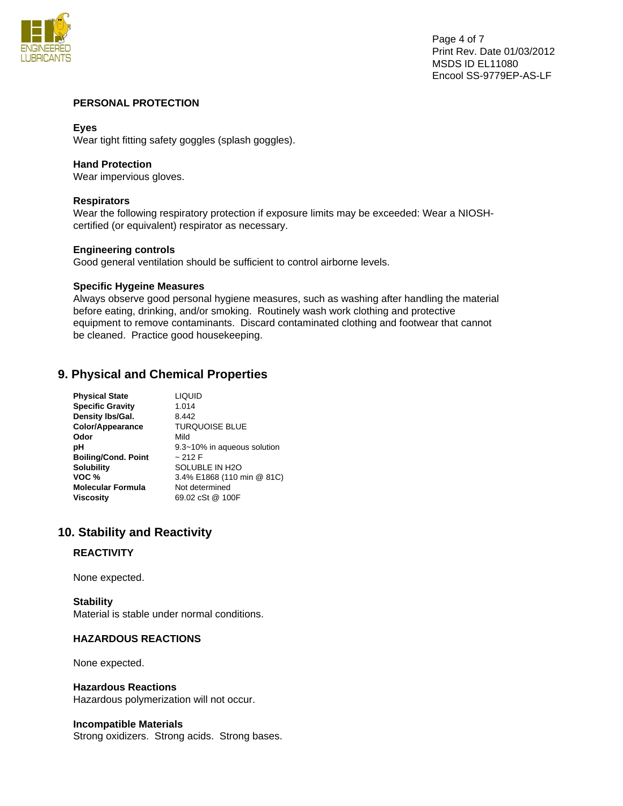

### **PERSONAL PROTECTION**

### **Eyes**

Wear tight fitting safety goggles (splash goggles).

#### **Hand Protection**

Wear impervious gloves.

#### **Respirators**

Wear the following respiratory protection if exposure limits may be exceeded: Wear a NIOSHcertified (or equivalent) respirator as necessary.

#### **Engineering controls**

Good general ventilation should be sufficient to control airborne levels.

#### **Specific Hygeine Measures**

Always observe good personal hygiene measures, such as washing after handling the material before eating, drinking, and/or smoking. Routinely wash work clothing and protective equipment to remove contaminants. Discard contaminated clothing and footwear that cannot be cleaned. Practice good housekeeping.

# **9. Physical and Chemical Properties**

| <b>Physical State</b>      | <b>LIQUID</b>               |
|----------------------------|-----------------------------|
| <b>Specific Gravity</b>    | 1.014                       |
| Density Ibs/Gal.           | 8.442                       |
| Color/Appearance           | <b>TURQUOISE BLUE</b>       |
| Odor                       | Mild                        |
| рH                         | 9.3~10% in aqueous solution |
| <b>Boiling/Cond. Point</b> | ~212 F                      |
| <b>Solubility</b>          | SOLUBLE IN H2O              |
| VOC %                      | 3.4% E1868 (110 min @ 81C)  |
| <b>Molecular Formula</b>   | Not determined              |
| <b>Viscosity</b>           | 69.02 cSt @ 100F            |

# **10. Stability and Reactivity**

#### **REACTIVITY**

None expected.

**Stability**  Material is stable under normal conditions.

#### **HAZARDOUS REACTIONS**

None expected.

#### **Hazardous Reactions**

Hazardous polymerization will not occur.

#### **Incompatible Materials**

Strong oxidizers. Strong acids. Strong bases.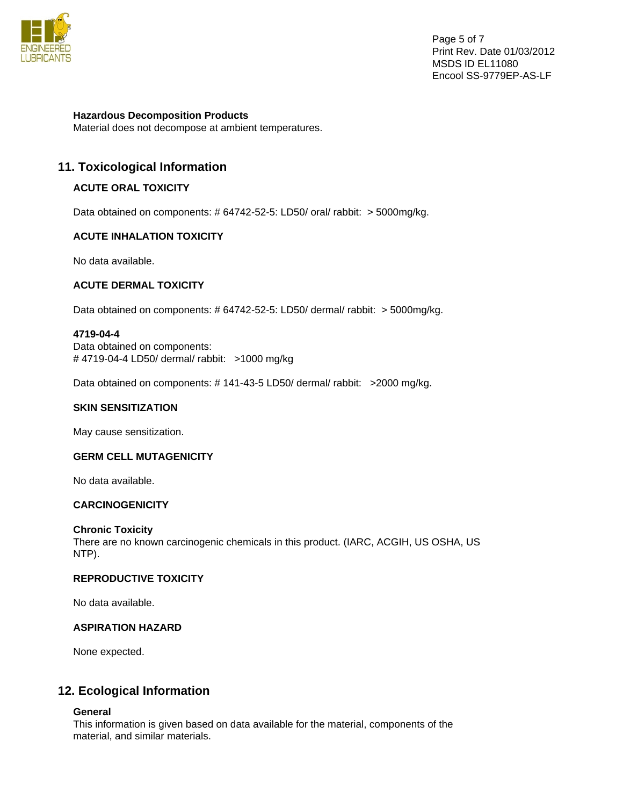

Page 5 of 7 Print Rev. Date 01/03/2012 MSDS ID EL11080 Encool SS-9779EP-AS-LF

**Hazardous Decomposition Products** 

Material does not decompose at ambient temperatures.

# **11. Toxicological Information**

# **ACUTE ORAL TOXICITY**

Data obtained on components: # 64742-52-5: LD50/ oral/ rabbit: > 5000mg/kg.

#### **ACUTE INHALATION TOXICITY**

No data available.

# **ACUTE DERMAL TOXICITY**

Data obtained on components: # 64742-52-5: LD50/ dermal/ rabbit: > 5000mg/kg.

#### **4719-04-4**

Data obtained on components: # 4719-04-4 LD50/ dermal/ rabbit: >1000 mg/kg

Data obtained on components: #141-43-5 LD50/ dermal/ rabbit: >2000 mg/kg.

#### **SKIN SENSITIZATION**

May cause sensitization.

#### **GERM CELL MUTAGENICITY**

No data available.

#### **CARCINOGENICITY**

#### **Chronic Toxicity**

There are no known carcinogenic chemicals in this product. (IARC, ACGIH, US OSHA, US NTP).

### **REPRODUCTIVE TOXICITY**

No data available.

#### **ASPIRATION HAZARD**

None expected.

# **12. Ecological Information**

#### **General**

This information is given based on data available for the material, components of the material, and similar materials.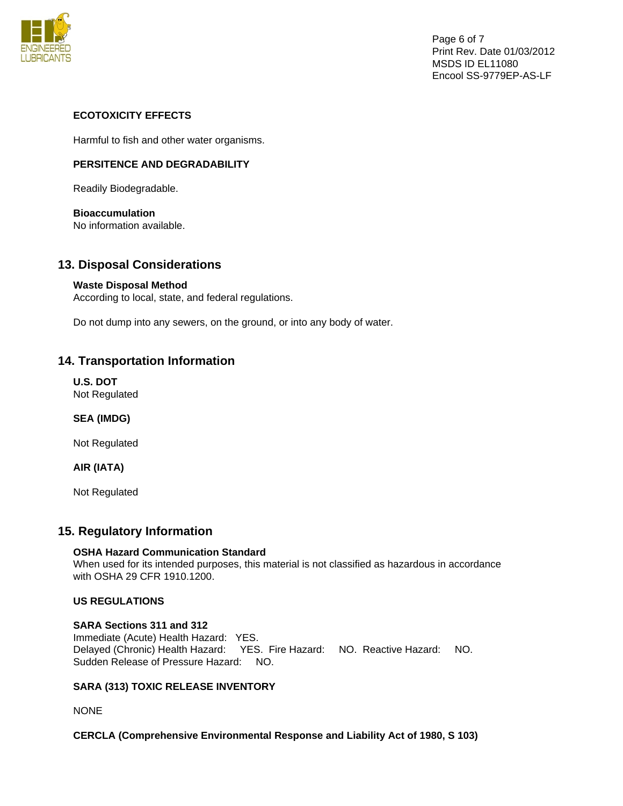

Page 6 of 7 Print Rev. Date 01/03/2012 MSDS ID EL11080 Encool SS-9779EP-AS-LF

# **ECOTOXICITY EFFECTS**

Harmful to fish and other water organisms.

# **PERSITENCE AND DEGRADABILITY**

Readily Biodegradable.

# **Bioaccumulation**

No information available.

# **13. Disposal Considerations**

# **Waste Disposal Method**

According to local, state, and federal regulations.

Do not dump into any sewers, on the ground, or into any body of water.

# **14. Transportation Information**

**U.S. DOT**  Not Regulated

**SEA (IMDG)** 

Not Regulated

# **AIR (IATA)**

Not Regulated

# **15. Regulatory Information**

# **OSHA Hazard Communication Standard**

When used for its intended purposes, this material is not classified as hazardous in accordance with OSHA 29 CFR 1910.1200.

# **US REGULATIONS**

# **SARA Sections 311 and 312**

Immediate (Acute) Health Hazard: YES. Delayed (Chronic) Health Hazard: YES. Fire Hazard: NO. Reactive Hazard: NO. Sudden Release of Pressure Hazard: NO.

# **SARA (313) TOXIC RELEASE INVENTORY**

NONE

# **CERCLA (Comprehensive Environmental Response and Liability Act of 1980, S 103)**